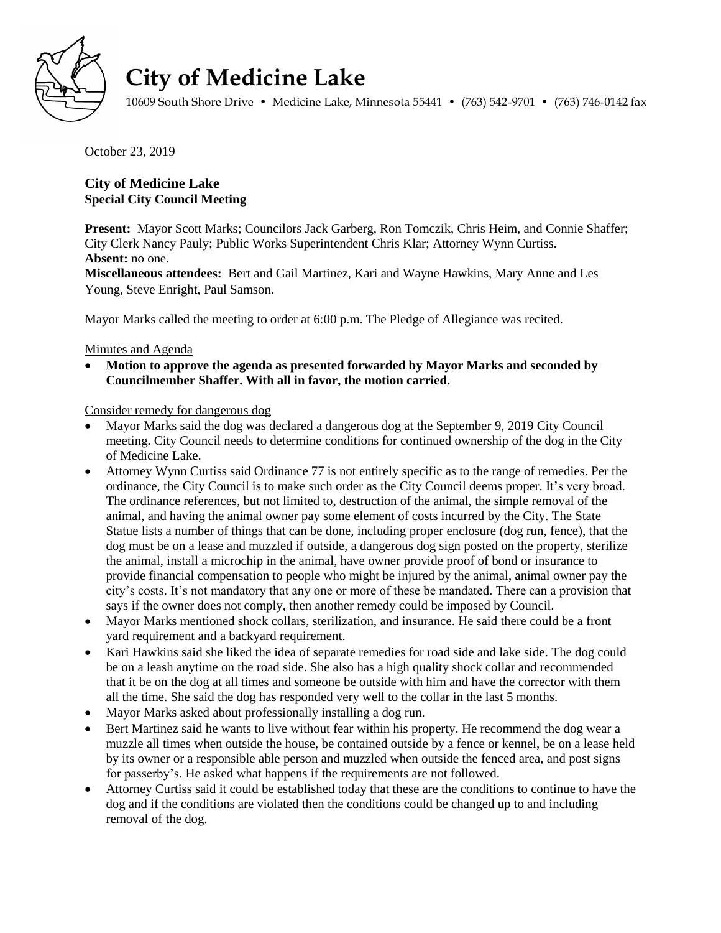

## **City of Medicine Lake**

10609 South Shore Drive • Medicine Lake, Minnesota 55441 • (763) 542-9701 • (763) 746-0142 fax

October 23, 2019

## **City of Medicine Lake Special City Council Meeting**

**Present:** Mayor Scott Marks; Councilors Jack Garberg, Ron Tomczik, Chris Heim, and Connie Shaffer; City Clerk Nancy Pauly; Public Works Superintendent Chris Klar; Attorney Wynn Curtiss. **Absent:** no one.

**Miscellaneous attendees:** Bert and Gail Martinez, Kari and Wayne Hawkins, Mary Anne and Les Young, Steve Enright, Paul Samson.

Mayor Marks called the meeting to order at 6:00 p.m. The Pledge of Allegiance was recited.

## Minutes and Agenda

 **Motion to approve the agenda as presented forwarded by Mayor Marks and seconded by Councilmember Shaffer. With all in favor, the motion carried.**

Consider remedy for dangerous dog

- Mayor Marks said the dog was declared a dangerous dog at the September 9, 2019 City Council meeting. City Council needs to determine conditions for continued ownership of the dog in the City of Medicine Lake.
- Attorney Wynn Curtiss said Ordinance 77 is not entirely specific as to the range of remedies. Per the ordinance, the City Council is to make such order as the City Council deems proper. It's very broad. The ordinance references, but not limited to, destruction of the animal, the simple removal of the animal, and having the animal owner pay some element of costs incurred by the City. The State Statue lists a number of things that can be done, including proper enclosure (dog run, fence), that the dog must be on a lease and muzzled if outside, a dangerous dog sign posted on the property, sterilize the animal, install a microchip in the animal, have owner provide proof of bond or insurance to provide financial compensation to people who might be injured by the animal, animal owner pay the city's costs. It's not mandatory that any one or more of these be mandated. There can a provision that says if the owner does not comply, then another remedy could be imposed by Council.
- Mayor Marks mentioned shock collars, sterilization, and insurance. He said there could be a front yard requirement and a backyard requirement.
- Kari Hawkins said she liked the idea of separate remedies for road side and lake side. The dog could be on a leash anytime on the road side. She also has a high quality shock collar and recommended that it be on the dog at all times and someone be outside with him and have the corrector with them all the time. She said the dog has responded very well to the collar in the last 5 months.
- Mayor Marks asked about professionally installing a dog run.
- Bert Martinez said he wants to live without fear within his property. He recommend the dog wear a muzzle all times when outside the house, be contained outside by a fence or kennel, be on a lease held by its owner or a responsible able person and muzzled when outside the fenced area, and post signs for passerby's. He asked what happens if the requirements are not followed.
- Attorney Curtiss said it could be established today that these are the conditions to continue to have the dog and if the conditions are violated then the conditions could be changed up to and including removal of the dog.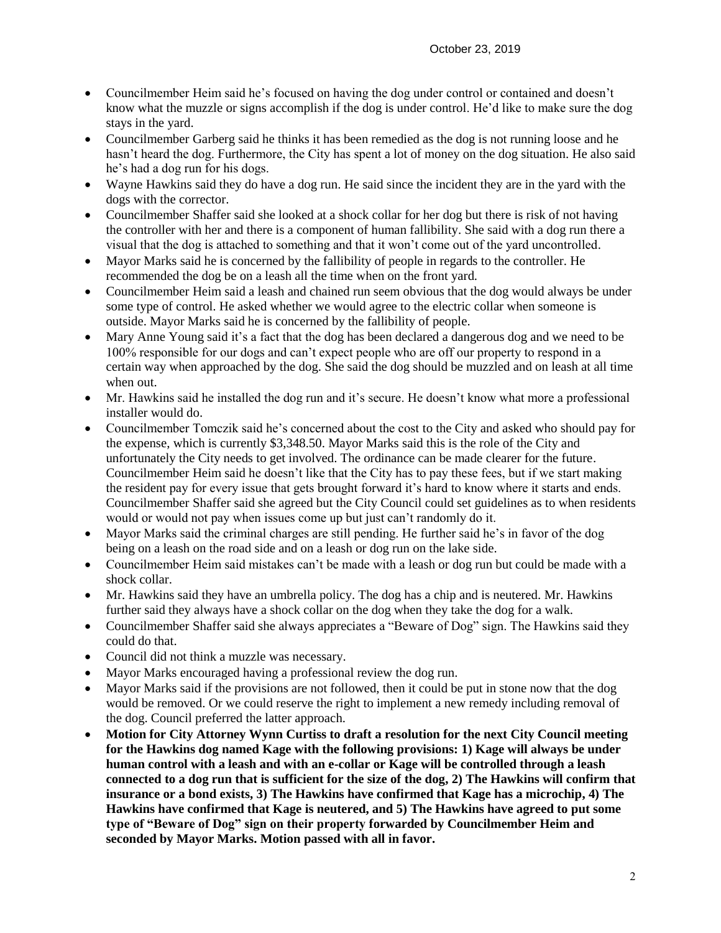- Councilmember Heim said he's focused on having the dog under control or contained and doesn't know what the muzzle or signs accomplish if the dog is under control. He'd like to make sure the dog stays in the yard.
- Councilmember Garberg said he thinks it has been remedied as the dog is not running loose and he hasn't heard the dog. Furthermore, the City has spent a lot of money on the dog situation. He also said he's had a dog run for his dogs.
- Wayne Hawkins said they do have a dog run. He said since the incident they are in the yard with the dogs with the corrector.
- Councilmember Shaffer said she looked at a shock collar for her dog but there is risk of not having the controller with her and there is a component of human fallibility. She said with a dog run there a visual that the dog is attached to something and that it won't come out of the yard uncontrolled.
- Mayor Marks said he is concerned by the fallibility of people in regards to the controller. He recommended the dog be on a leash all the time when on the front yard.
- Councilmember Heim said a leash and chained run seem obvious that the dog would always be under some type of control. He asked whether we would agree to the electric collar when someone is outside. Mayor Marks said he is concerned by the fallibility of people.
- Mary Anne Young said it's a fact that the dog has been declared a dangerous dog and we need to be 100% responsible for our dogs and can't expect people who are off our property to respond in a certain way when approached by the dog. She said the dog should be muzzled and on leash at all time when out.
- Mr. Hawkins said he installed the dog run and it's secure. He doesn't know what more a professional installer would do.
- Councilmember Tomczik said he's concerned about the cost to the City and asked who should pay for the expense, which is currently \$3,348.50. Mayor Marks said this is the role of the City and unfortunately the City needs to get involved. The ordinance can be made clearer for the future. Councilmember Heim said he doesn't like that the City has to pay these fees, but if we start making the resident pay for every issue that gets brought forward it's hard to know where it starts and ends. Councilmember Shaffer said she agreed but the City Council could set guidelines as to when residents would or would not pay when issues come up but just can't randomly do it.
- Mayor Marks said the criminal charges are still pending. He further said he's in favor of the dog being on a leash on the road side and on a leash or dog run on the lake side.
- Councilmember Heim said mistakes can't be made with a leash or dog run but could be made with a shock collar.
- Mr. Hawkins said they have an umbrella policy. The dog has a chip and is neutered. Mr. Hawkins further said they always have a shock collar on the dog when they take the dog for a walk.
- Councilmember Shaffer said she always appreciates a "Beware of Dog" sign. The Hawkins said they could do that.
- Council did not think a muzzle was necessary.
- Mayor Marks encouraged having a professional review the dog run.
- Mayor Marks said if the provisions are not followed, then it could be put in stone now that the dog would be removed. Or we could reserve the right to implement a new remedy including removal of the dog. Council preferred the latter approach.
- **Motion for City Attorney Wynn Curtiss to draft a resolution for the next City Council meeting for the Hawkins dog named Kage with the following provisions: 1) Kage will always be under human control with a leash and with an e-collar or Kage will be controlled through a leash connected to a dog run that is sufficient for the size of the dog, 2) The Hawkins will confirm that insurance or a bond exists, 3) The Hawkins have confirmed that Kage has a microchip, 4) The Hawkins have confirmed that Kage is neutered, and 5) The Hawkins have agreed to put some type of "Beware of Dog" sign on their property forwarded by Councilmember Heim and seconded by Mayor Marks. Motion passed with all in favor.**